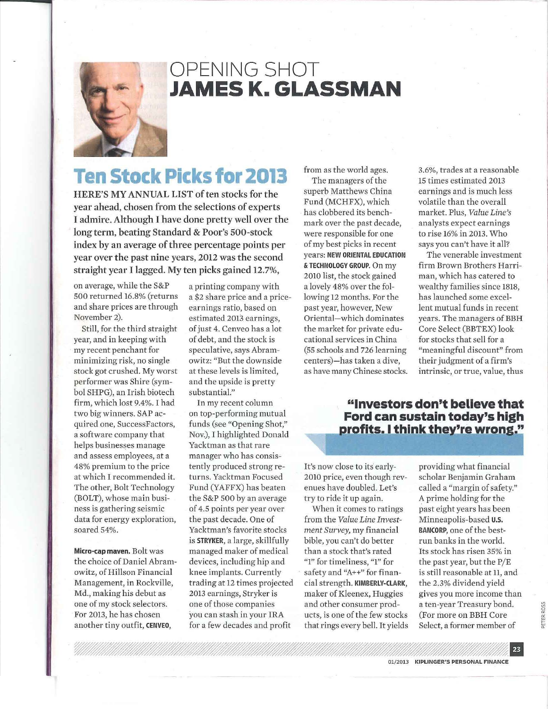

## OPENING SHOT **JAMES K. GLASSMAN**

# **Ten Stock Picks for 2013**

HERE'S MY ANNUAL LIST of ten stocks for the year ahead, chosen from the selections of experts I admire. Although I have done pretty well over the long term, beating Standard & Poor's 500-stock index by an average of three percentage points per year over the past nine years, 2012 was the second straight year I lagged. My ten picks gained 12.7%,

on average, while the S&P 500 returned 16.8% (returns and share prices are through November 2).

Still, for the third straight year, and in keeping with my recent penchant for minimizing risk, no single stock got crushed. My worst performer was Shire (symbol SHPG), an Irish biotech firm, which lost 9.4%. I had two big winners. SAP acquired one, SuccessFactors, a software company that helps businesses manage and assess employees, at a 48% premium to the price at which I recommended it. The other, Bolt Technology (BOLT), whose main business is gathering seismic data for energy exploration, soared 54%.

Micro-cap maven. Bolt was the choice of Daniel Abramowitz, of Hillson Financial Management, in Rockville, Md., making his debut as one of my stock selectors. For 2013, he has chosen another tiny outfit, CENVEO,

a printing company with a \$2 share price and a priceearnings ratio, based on estimated 2013 earnings, of just 4. Cenveo has a lot of debt, and the stock is speculative, says Abramowitz: "But the downside at these levels is limited, and the upside is pretty substantial."

In my recent column on top-performing mutual funds (see "Opening Shot," Nov.), I highlighted Donald Yacktman as that rare manager who has consistently produced strong returns. Yacktman Focused Fund (YAFFX) has beaten the S&P 500 by an average of 4.5 points per year over the past decade. One of Yacktman's favorite stocks is STRYKER, a large, skillfully managed maker of medical devices, including hip and knee implants. Currently trading at 12 times projected 2013 earnings, Stryker is one of those companies you can stash in your IRA for a few decades and profit

from as the world ages. The managers of the superb Matthews China Fund (MCHFX), which has clobbered its benchmark over the past decade, were responsible for one of my best picks in recent years: NEW ORIENTAL EDUCATION & TECHNOLOGY GROUP. On my 2010 list, the stock gained a lovely 48% over the following 12 months. For the past year, however, New Oriental-which dominates the market for private educational services in China (55 schools and 726 learning centers)-has taken a dive, as have many Chinese stocks.

3.6%, trades at a reasonable 15 times estimated 2013 earnings and is much less volatile than the overall market. Plus, *Value Line's*  analysts expect earnings to rise 16% in 2013. Who says you can't have it all?

The venerable investment firm Brown Brothers Harriman, which has catered to wealthy families since 1818, has launched some excellent mutual funds in recent years. The managers of BBH Core Select (BBTEX) look for stocks that sell for a "meaningful discount" from their judgment of a firm's intrinsic, or true, value, thus

### "Investors don't believe that Ford can sustain today's high profits. I think they're wrong."

It's now close to its early-2010 price, even though revenues have doubled. Let's try to ride it up again.

When it comes to ratings from the *Value Line Investment Survey,* my financial bible, you can't do better than a stock that's rated "1" for timeliness, "1" for safety and "A++" for financial strength. KIMBERLY-CLARK, maker of Kleenex, Huggies and other consumer products, is one of the few stocks that rings every bell. It yields providing what financial scholar Benjamin Graham called a "margin of safety." A prime holding for the past eight years has been Minneapolis-based U.S. BANCORP, one of the bestrun banks in the world. Its stock has risen 35% in the past year, but the P/E is still reasonable at 11, and the 2.3% dividend yield gives you more income than a ten-year Treasury bond. (For more on BBH Core Select, a former member of

**PETER ROSS**